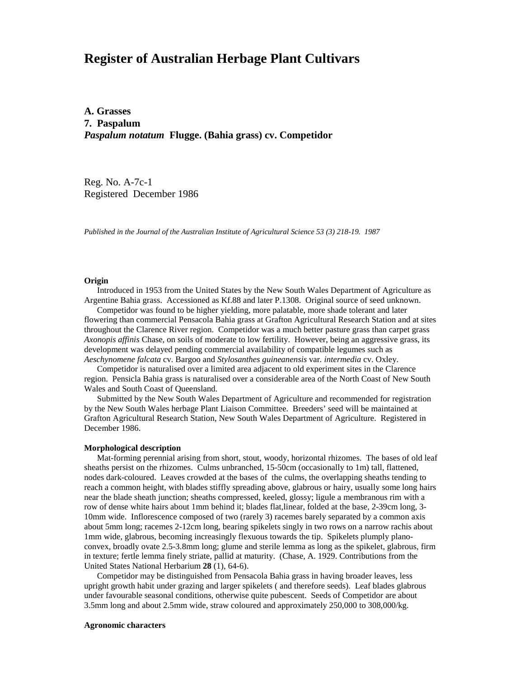# **Register of Australian Herbage Plant Cultivars**

**A. Grasses 7. Paspalum** *Paspalum notatum* **Flugge. (Bahia grass) cv. Competidor**

Reg. No. A-7c-1 Registered December 1986

*Published in the Journal of the Australian Institute of Agricultural Science 53 (3) 218-19. 1987*

## **Origin**

Introduced in 1953 from the United States by the New South Wales Department of Agriculture as Argentine Bahia grass. Accessioned as Kf.88 and later P.1308. Original source of seed unknown.

 Competidor was found to be higher yielding, more palatable, more shade tolerant and later flowering than commercial Pensacola Bahia grass at Grafton Agricultural Research Station and at sites throughout the Clarence River region. Competidor was a much better pasture grass than carpet grass *Axonopis affinis* Chase, on soils of moderate to low fertility. However, being an aggressive grass, its development was delayed pending commercial availability of compatible legumes such as *Aeschynomene falcata* cv. Bargoo and *Stylosanthes guineanensis* var*. intermedia* cv. Oxley.

 Competidor is naturalised over a limited area adjacent to old experiment sites in the Clarence region. Pensicla Bahia grass is naturalised over a considerable area of the North Coast of New South Wales and South Coast of Queensland.

 Submitted by the New South Wales Department of Agriculture and recommended for registration by the New South Wales herbage Plant Liaison Committee. Breeders' seed will be maintained at Grafton Agricultural Research Station, New South Wales Department of Agriculture. Registered in December 1986.

### **Morphological description**

 Mat-forming perennial arising from short, stout, woody, horizontal rhizomes. The bases of old leaf sheaths persist on the rhizomes. Culms unbranched, 15-50cm (occasionally to 1m) tall, flattened, nodes dark-coloured. Leaves crowded at the bases of the culms, the overlapping sheaths tending to reach a common height, with blades stiffly spreading above, glabrous or hairy, usually some long hairs near the blade sheath junction; sheaths compressed, keeled, glossy; ligule a membranous rim with a row of dense white hairs about 1mm behind it; blades flat, linear, folded at the base, 2-39cm long, 3-10mm wide. Inflorescence composed of two (rarely 3) racemes barely separated by a common axis about 5mm long; racemes 2-12cm long, bearing spikelets singly in two rows on a narrow rachis about 1mm wide, glabrous, becoming increasingly flexuous towards the tip. Spikelets plumply planoconvex, broadly ovate 2.5-3.8mm long; glume and sterile lemma as long as the spikelet, glabrous, firm in texture; fertle lemma finely striate, pallid at maturity. (Chase, A. 1929. Contributions from the United States National Herbarium **28** (1), 64-6).

 Competidor may be distinguished from Pensacola Bahia grass in having broader leaves, less upright growth habit under grazing and larger spikelets ( and therefore seeds). Leaf blades glabrous under favourable seasonal conditions, otherwise quite pubescent. Seeds of Competidor are about 3.5mm long and about 2.5mm wide, straw coloured and approximately 250,000 to 308,000/kg.

### **Agronomic characters**